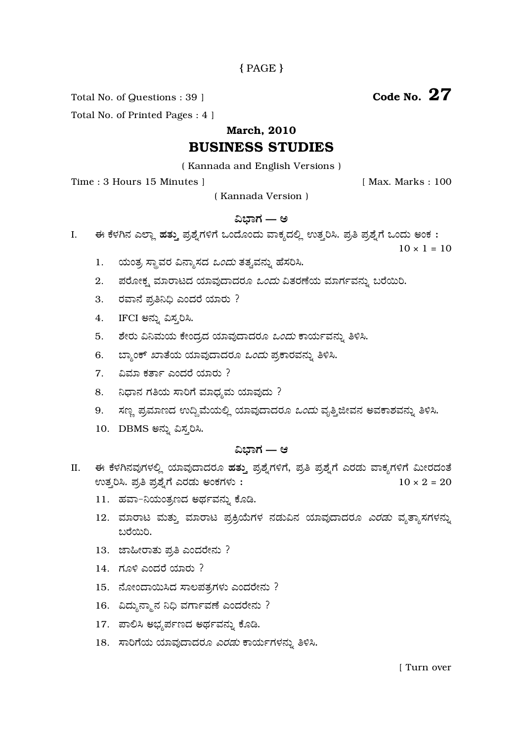# ${PAGE}$

Total No. of Questions : 39 ]

Code No.  $27$ 

Total No. of Printed Pages : 4 ]

# **March. 2010**

# **BUSINESS STUDIES**

(Kannada and English Versions)

Time: 3 Hours 15 Minutes 1

[ Max. Marks: 100

(Kannada Version)

## ವಿಬಾಗ — ಅ

ಈ ಕೆಳಗಿನ ಎಲ್ಲಾ ಹತ್ತು ಪ್ರಶ್ನೆಗಳಿಗೆ ಒಂದೊಂದು ವಾಕ್ಯದಲ್ಲಿ ಉತ್ತರಿಸಿ. ಪ್ರತಿ ಪ್ರಶ್ನೆಗೆ ಒಂದು ಅಂಕ : I.

 $10 \times 1 = 10$ 

- ಯಂತ್ರ ಸ್ಥಾವರ ವಿನ್ಯಾಸದ *ಒಂದು* ತತ್ವವನ್ನು ಹೆಸರಿಸಿ. 1.
- ಪರೋಕ್ಷ ಮಾರಾಟದ ಯಾವುದಾದರೂ *ಒಂದು* ವಿತರಣೆಯ ಮಾರ್ಗವನ್ನು ಬರೆಯಿರಿ.  $2.$
- 3. ರವಾನೆ ಪ್ರತಿನಿಧಿ ಎಂದರೆ ಯಾರು ?
- IFCI ಅನ್ನು ವಿಸ್ತರಿಸಿ. 4.
- $5<sub>1</sub>$ ಶೇರು ವಿನಿಮಯ ಕೇಂದ್ರದ ಯಾವುದಾದರೂ *ಒಂದು* ಕಾರ್ಯವನ್ನು ತಿಳಿಸಿ.
- ಬ್ಯಾಂಕ್ ಖಾತೆಯ ಯಾವುದಾದರೂ *ಒಂದು* ಪ್ರಕಾರವನ್ನು ತಿಳಿಸಿ. 6.
- $7.$  ವಿಮಾ ಕರ್ತಾ ಎಂದರೆ ಯಾರು ?
- 8. ನಿಧಾನ ಗತಿಯ ಸಾರಿಗೆ ಮಾಧ್ಯಮ ಯಾವುದು ?
- ಸಣ್ಣ ಪ್ರಮಾಣದ ಉದ್ದಿಮೆಯಲ್ಲಿ ಯಾವುದಾದರೂ *ಒಂದು* ವೃತ್ತಿಜೀವನ ಅವಕಾಶವನ್ನು ತಿಳಿಸಿ. 9.
- 10. DBMS ಅನ್ನು ವಿಸ್ಮರಿಸಿ.

## ವಿಬಾಗ — ಆ

- ಈ ಕೆಳಗಿನವುಗಳಲ್ಲಿ ಯಾವುದಾದರೂ ಹತ್ತು ಪ್ರಶ್ನೆಗಳಿಗೆ, ಪ್ರತಿ ಪ್ರಶ್ನೆಗೆ ಎರಡು ವಾಕ್ಯಗಳಿಗೆ ಮೀರದಂತೆ II. ಉತ್ತರಿಸಿ. ಪ್ರತಿ ಪ್ರಶ್ನೆಗೆ ಎರಡು ಅಂಕಗಳು :  $10 \times 2 = 20$ 
	- 11. ಹವಾ-ನಿಯಂತ್ರಣದ ಅರ್ಥವನ್ನು ಕೊಡಿ.
	- 12. ಮಾರಾಟ ಮತ್ತು ಮಾರಾಟ ಪ್ರಕ್ರಿಯೆಗಳ ನಡುವಿನ ಯಾವುದಾದರೂ *ಎರಡು* ವ್ಯತ್ಯಾಸಗಳನ್ನು ಬರೆಯಿರಿ.
	- 13. ಜಾಹೀರಾತು ಪ್ರತಿ ಎಂದರೇನು ?
	- 14. ಗೂಳಿ ಎಂದರೆ ಯಾರು ?
	- 15. ನೋಂದಾಯಿಸಿದ ಸಾಲಪತ್ರಗಳು ಎಂದರೇನು ?
	- 16. ವಿದ್ಯುನ್ಮಾನ ನಿಧಿ ವರ್ಗಾವಣೆ ಎಂದರೇನು ?
	- 17. ಪಾಲಿಸಿ ಅಭ್ಯರ್ಪಣದ ಅರ್ಥವನ್ನು ಕೊಡಿ.
	- 18. ಸಾರಿಗೆಯ ಯಾವುದಾದರೂ *ಎರಡು* ಕಾರ್ಯಗಳನ್ನು ತಿಳಿಸಿ.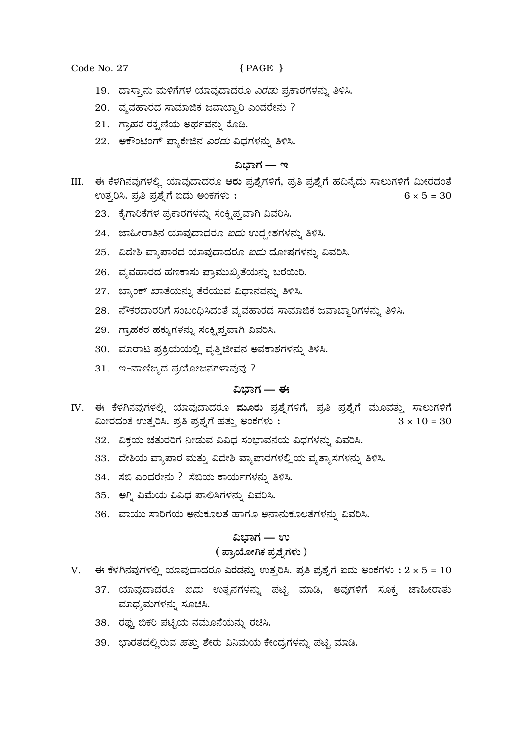Code No. 27 { PAGE }

- 19. ದಾಸ್ತಾನು ಮಳಿಗೆಗಳ ಯಾವುದಾದರೂ *ಎರಡು* ಪ್ರಕಾರಗಳನ್ನು ತಿಳಿಸಿ.
- 20. ವ್ಯವಹಾರದ ಸಾಮಾಜಿಕ ಜವಾಬ್ದಾರಿ ಎಂದರೇನು ?
- 21. ಗ್ರಾಹಕ ರಕ್ಷಣೆಯ ಅರ್ಥವನ್ನು ಕೊಡಿ.
- 22. ಅಕೌಂಟಿಂಗ್ ಪ್ಯಾಕೇಜಿನ *ಎರಡು* ವಿಧಗಳನ್ನು ತಿಳಿಸಿ.

# <u>ವಿಬಾಗ — ಇ</u>

- III. ಈ ಕೆಳಗಿನವುಗಳಲ್ಲಿ ಯಾವುದಾದರೂ ಆರು ಪ್ರಶ್ನೆಗಳಿಗೆ, ಪ್ರತಿ ಪ್ರಶ್ನೆಗೆ ಹದಿನ್ಯೆದು ಸಾಲುಗಳಿಗೆ ಮೀರದಂತೆ ಉತ್ತರಿಸಿ. ಪ್ರತಿ ಪ್ರಶ್ನೆಗೆ ಐದು ಅಂಕಗಳು :  $6 \times 5 = 30$ 
	- 23. ಕೈಗಾರಿಕೆಗಳ ಪ್ರಕಾರಗಳನ್ನು ಸಂಕ್ಷಿಪ್ತವಾಗಿ ವಿವರಿಸಿ.
	- 24. ಜಾಹೀರಾತಿನ ಯಾವುದಾದರೂ *ಐದು* ಉದ್ದೇಶಗಳನ್ನು ತಿಳಿಸಿ.
	- 25. ವಿದೇಶಿ ವ್ಯಾಪಾರದ ಯಾವುದಾದರೂ *ಐದು* ದೋಷಗಳನ್ನು ವಿವರಿಸಿ.
	- 26. ವ್ಯವಹಾರದ ಹಣಕಾಸು ಪ್ರಾಮುಖ್ಯತೆಯನ್ನು ಬರೆಯಿರಿ.
	- 27. ಬ್ಯಾಂಕ್ ಖಾತೆಯನ್ನು ತೆರೆಯುವ ವಿಧಾನವನ್ನು ತಿಳಿಸಿ.
	- 28. ನೌಕರದಾರರಿಗೆ ಸಂಬಂಧಿಸಿದಂತೆ ವ್ಯವಹಾರದ ಸಾಮಾಜಿಕ ಜವಾಬ್ದಾರಿಗಳನ್ನು ತಿಳಿಸಿ.
	- 29. ಗ್ರಾಹಕರ ಹಕ್ಕುಗಳನ್ನು ಸಂಕ್ಷಿಪ್ತವಾಗಿ ವಿವರಿಸಿ.
	- 30. ಮಾರಾಟ ಪ್ರಕ್ರಿಯೆಯಲ್ಲಿ ವೃತ್ತಿಜೀವನ ಅವಕಾಶಗಳನ್ನು ತಿಳಿಸಿ.
	- 31. ಇ-ವಾಣಿಜ್ಯದ ಪ್ರಯೋಜನಗಳಾವುವು ?

### $\hat{a}$ ಭಾಗ — ಈ

- IV. ಈ ಕೆಳಗಿನವುಗಳಲ್ಲಿ ಯಾವುದಾದರೂ ಮೂರು ಪ್ರಶ್ನೆಗಳಿಗೆ, ಪ್ರತಿ ಪ್ರಶ್ನೆಗೆ ಮೂವತ್ತು ಸಾಲುಗಳಿಗೆ ಮೀರದಂತೆ ಉತ್ತರಿಸಿ. ಪ್ರತಿ ಪ್ರಶ್ನೆಗೆ ಹತ್ತು ಅಂಕಗಳು :  $3 \times 10 = 30$ 
	- 32. ವಿಕ್ರಯ ಚತುರರಿಗೆ ನೀಡುವ ವಿವಿಧ ಸಂಭಾವನೆಯ ವಿಧಗಳನ್ನು ವಿವರಿಸಿ.
	- 33. ದೇಶಿಯ ವ್ಯಾಪಾರ ಮತ್ತು ವಿದೇಶಿ ವ್ಯಾಪಾರಗಳಲ್ಲಿಯ ವ್ಯತ್ಯಾಸಗಳನ್ನು ತಿಳಿಸಿ.
	- 34. ಸೆಬಿ ಎಂದರೇನು ? ಸೆಬಿಯ ಕಾರ್ಯಗಳನ್ನು ತಿಳಿಸಿ.
	- 35. •�ಗ್ತಿ ವಿಮೆಯ ವಿವಿಧ ಪಾಲಿಸಿಗಳನ್ನು ವಿವರಿಸಿ.
	- 36. ವಾಯು ಸಾರಿಗೆಯ ಅನುಕೂಲತೆ ಹಾಗೂ ಅನಾನುಕೂಲತೆಗಳನ್ನು ವಿವರಿಸಿ.

#### <u>ವಿಭಾಗ — ಉ</u>

### ( ಪ್ರಾಯೋಗಿಕ ಪ್ರಶ್ನೆಗಳು )

- V. ಈ ಕೆಳಗಿನವುಗಳಲ್ಲಿ ಯಾವುದಾದರೂ ಎರಡನ್ನು ಉತ್ತರಿಸಿ. ಪ್ರತಿ ಪ್ರಶ್ನೆಗೆ ಐದು ಅಂಕಗಳು : 2 × 5 = 10
	- 37. ಯಾವುದಾದರೂ *ಐದು* ಉತ್ಪನಗಳನ್ನು ಪಟ್ಟಿ ಮಾಡಿ, ಅವುಗಳಿಗೆ ಸೂಕ್ತ ಜಾಹೀರಾತು ಮಾಧ್ಯಮಗಳನ್ನು ಸೂಚಿಸಿ.
	- 38. ರಫ್ತು ಬಿಕರಿ ಪಟ್ಟಿಯ ನಮೂನೆಯನ್ನು ರಚಿಸಿ.
	- 39. ಭಾರತದಲ್ಲಿರುವ *ಹತ್ತು* ಶೇರು ವಿನಿಮಯ ಕೇಂದ್ರಗಳನ್ನು ಪಟ್ಟಿ ಮಾಡಿ.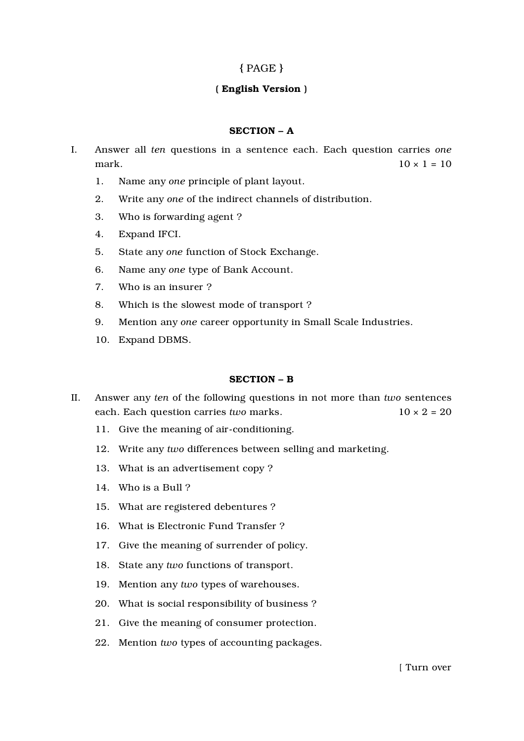# { PAGE }

# ( English Version )

## SECTION – A

- I. Answer all *ten* questions in a sentence each. Each question carries *one* mark.  $10 \times 1 = 10$ 
	- 1. Name any *one* principle of plant layout.
	- 2. Write any *one* of the indirect channels of distribution.
	- 3. Who is forwarding agent ?
	- 4. Expand IFCI.
	- 5. State any *one* function of Stock Exchange.
	- 6. Name any *one* type of Bank Account.
	- 7. Who is an insurer ?
	- 8. Which is the slowest mode of transport ?
	- 9. Mention any *one* career opportunity in Small Scale Industries.
	- 10. Expand DBMS.

## SECTION – B

- II. Answer any *ten* of the following questions in not more than *two* sentences each. Each question carries *two* marks. 10 × 2 = 20
	- 11. Give the meaning of air-conditioning.
	- 12. Write any *two* differences between selling and marketing.
	- 13. What is an advertisement copy ?
	- 14. Who is a Bull ?
	- 15. What are registered debentures ?
	- 16. What is Electronic Fund Transfer ?
	- 17. Give the meaning of surrender of policy.
	- 18. State any *two* functions of transport.
	- 19. Mention any *two* types of warehouses.
	- 20. What is social responsibility of business ?
	- 21. Give the meaning of consumer protection.
	- 22. Mention *two* types of accounting packages.